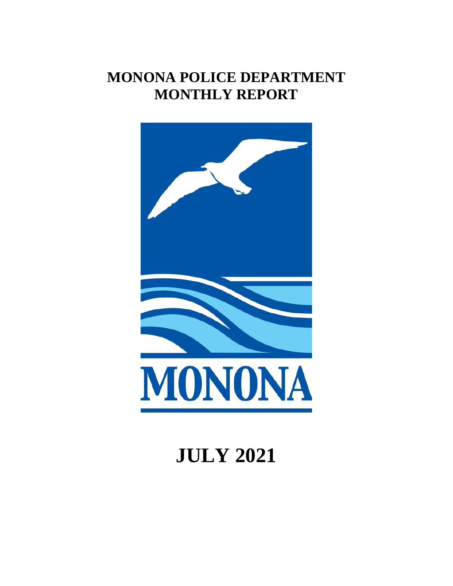# **MONONA POLICE DEPARTMENT MONTHLY REPORT**



# **JULY 2021**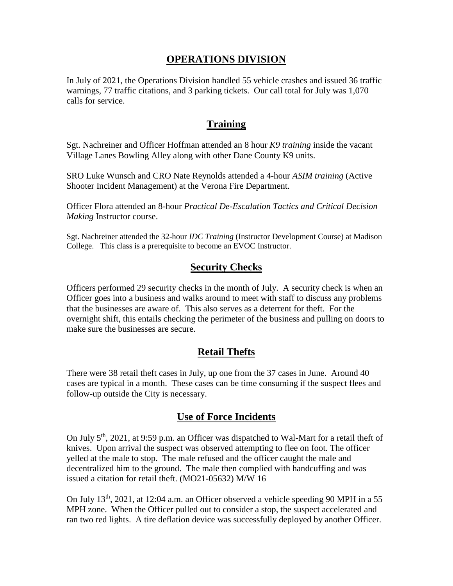#### **OPERATIONS DIVISION**

In July of 2021, the Operations Division handled 55 vehicle crashes and issued 36 traffic warnings, 77 traffic citations, and 3 parking tickets. Our call total for July was 1,070 calls for service.

#### **Training**

Sgt. Nachreiner and Officer Hoffman attended an 8 hour *K9 training* inside the vacant Village Lanes Bowling Alley along with other Dane County K9 units.

SRO Luke Wunsch and CRO Nate Reynolds attended a 4-hour *ASIM training* (Active Shooter Incident Management) at the Verona Fire Department.

Officer Flora attended an 8-hour *Practical De-Escalation Tactics and Critical Decision Making* Instructor course.

Sgt. Nachreiner attended the 32-hour *IDC Training* (Instructor Development Course) at Madison College. This class is a prerequisite to become an EVOC Instructor.

## **Security Checks**

Officers performed 29 security checks in the month of July. A security check is when an Officer goes into a business and walks around to meet with staff to discuss any problems that the businesses are aware of. This also serves as a deterrent for theft. For the overnight shift, this entails checking the perimeter of the business and pulling on doors to make sure the businesses are secure.

## **Retail Thefts**

There were 38 retail theft cases in July, up one from the 37 cases in June. Around 40 cases are typical in a month. These cases can be time consuming if the suspect flees and follow-up outside the City is necessary.

## **Use of Force Incidents**

On July 5th, 2021, at 9:59 p.m. an Officer was dispatched to Wal-Mart for a retail theft of knives. Upon arrival the suspect was observed attempting to flee on foot. The officer yelled at the male to stop. The male refused and the officer caught the male and decentralized him to the ground. The male then complied with handcuffing and was issued a citation for retail theft. (MO21-05632) M/W 16

On July  $13<sup>th</sup>$ ,  $2021$ , at  $12:04$  a.m. an Officer observed a vehicle speeding 90 MPH in a 55 MPH zone. When the Officer pulled out to consider a stop, the suspect accelerated and ran two red lights. A tire deflation device was successfully deployed by another Officer.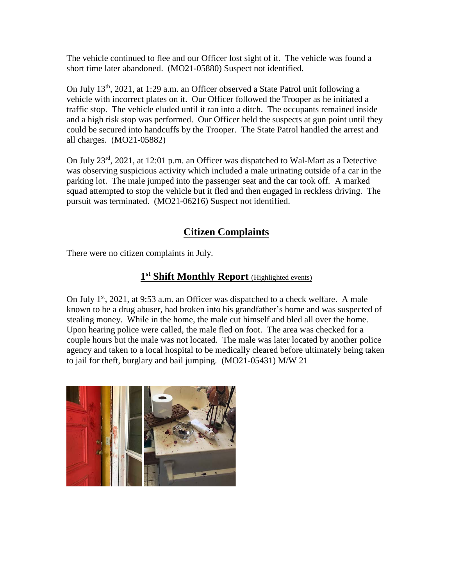The vehicle continued to flee and our Officer lost sight of it. The vehicle was found a short time later abandoned. (MO21-05880) Suspect not identified.

On July 13th, 2021, at 1:29 a.m. an Officer observed a State Patrol unit following a vehicle with incorrect plates on it. Our Officer followed the Trooper as he initiated a traffic stop. The vehicle eluded until it ran into a ditch. The occupants remained inside and a high risk stop was performed. Our Officer held the suspects at gun point until they could be secured into handcuffs by the Trooper. The State Patrol handled the arrest and all charges. (MO21-05882)

On July 23rd, 2021, at 12:01 p.m. an Officer was dispatched to Wal-Mart as a Detective was observing suspicious activity which included a male urinating outside of a car in the parking lot. The male jumped into the passenger seat and the car took off. A marked squad attempted to stop the vehicle but it fled and then engaged in reckless driving. The pursuit was terminated. (MO21-06216) Suspect not identified.

# **Citizen Complaints**

There were no citizen complaints in July.

# **1st Shift Monthly Report** (Highlighted events)

On July  $1^{st}$ , 2021, at 9:53 a.m. an Officer was dispatched to a check welfare. A male known to be a drug abuser, had broken into his grandfather's home and was suspected of stealing money. While in the home, the male cut himself and bled all over the home. Upon hearing police were called, the male fled on foot. The area was checked for a couple hours but the male was not located. The male was later located by another police agency and taken to a local hospital to be medically cleared before ultimately being taken to jail for theft, burglary and bail jumping. (MO21-05431) M/W 21

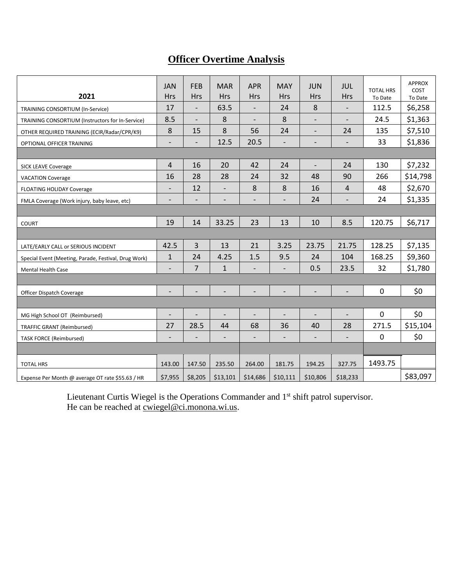# **Officer Overtime Analysis**

| 2021                                                 | <b>JAN</b><br><b>Hrs</b> | <b>FEB</b><br><b>Hrs</b> | <b>MAR</b><br><b>Hrs</b> | <b>APR</b><br><b>Hrs</b> | <b>MAY</b><br><b>Hrs</b> | <b>JUN</b><br><b>Hrs</b> | <b>JUL</b><br><b>Hrs</b> | <b>TOTAL HRS</b><br>To Date | <b>APPROX</b><br>COST<br>To Date |
|------------------------------------------------------|--------------------------|--------------------------|--------------------------|--------------------------|--------------------------|--------------------------|--------------------------|-----------------------------|----------------------------------|
| TRAINING CONSORTIUM (In-Service)                     | 17                       | $\overline{\phantom{a}}$ | 63.5                     | $\overline{\phantom{a}}$ | 24                       | 8                        | $\overline{\phantom{a}}$ | 112.5                       | \$6,258                          |
| TRAINING CONSORTIUM (Instructors for In-Service)     | 8.5                      | $\frac{1}{2}$            | 8                        | $\overline{\phantom{a}}$ | 8                        | $\overline{\phantom{a}}$ | $\blacksquare$           | 24.5                        | \$1,363                          |
| OTHER REQUIRED TRAINING (ECIR/Radar/CPR/K9)          | 8                        | 15                       | 8                        | 56                       | 24                       | $\overline{\phantom{0}}$ | 24                       | 135                         | \$7,510                          |
| OPTIONAL OFFICER TRAINING                            | $\overline{\phantom{0}}$ | $\overline{\phantom{a}}$ | 12.5                     | 20.5                     | $\overline{\phantom{a}}$ | $\overline{\phantom{a}}$ | $\overline{\phantom{a}}$ | 33                          | \$1,836                          |
|                                                      |                          |                          |                          |                          |                          |                          |                          |                             |                                  |
| <b>SICK LEAVE Coverage</b>                           | $\overline{4}$           | 16                       | 20                       | 42                       | 24                       | $\overline{\phantom{a}}$ | 24                       | 130                         | \$7,232                          |
| <b>VACATION Coverage</b>                             | 16                       | 28                       | 28                       | 24                       | 32                       | 48                       | 90                       | 266                         | \$14,798                         |
| <b>FLOATING HOLIDAY Coverage</b>                     | $\overline{\phantom{a}}$ | 12                       | $\overline{\phantom{a}}$ | 8                        | 8                        | 16                       | 4                        | 48                          | \$2,670                          |
| FMLA Coverage (Work injury, baby leave, etc)         | $\overline{\phantom{a}}$ | $\overline{\phantom{a}}$ | $\overline{\phantom{a}}$ | $\overline{\phantom{a}}$ | $\overline{\phantom{a}}$ | 24                       | $\overline{\phantom{a}}$ | 24                          | \$1,335                          |
|                                                      |                          |                          |                          |                          |                          |                          |                          |                             |                                  |
| <b>COURT</b>                                         | 19                       | 14                       | 33.25                    | 23                       | 13                       | 10                       | 8.5                      | 120.75                      | \$6,717                          |
|                                                      |                          |                          |                          |                          |                          |                          |                          |                             |                                  |
| LATE/EARLY CALL or SERIOUS INCIDENT                  | 42.5                     | 3                        | 13                       | 21                       | 3.25                     | 23.75                    | 21.75                    | 128.25                      | \$7,135                          |
| Special Event (Meeting, Parade, Festival, Drug Work) | $\mathbf{1}$             | 24                       | 4.25                     | 1.5                      | 9.5                      | 24                       | 104                      | 168.25                      | \$9,360                          |
| <b>Mental Health Case</b>                            | $\overline{\phantom{0}}$ | $\overline{7}$           | $\mathbf{1}$             | $\overline{\phantom{0}}$ |                          | 0.5                      | 23.5                     | 32                          | \$1,780                          |
|                                                      |                          |                          |                          |                          |                          |                          |                          |                             |                                  |
| Officer Dispatch Coverage                            |                          | $\overline{\phantom{0}}$ | $\overline{\phantom{a}}$ | $\overline{\phantom{a}}$ | $\overline{\phantom{0}}$ | $\overline{\phantom{a}}$ | $\overline{\phantom{a}}$ | $\mathbf 0$                 | \$0                              |
|                                                      |                          |                          |                          |                          |                          |                          |                          |                             |                                  |
| MG High School OT (Reimbursed)                       |                          |                          | $\overline{\phantom{a}}$ | $\overline{\phantom{0}}$ |                          | $\qquad \qquad -$        |                          | 0                           | \$0                              |
| <b>TRAFFIC GRANT (Reimbursed)</b>                    | 27                       | 28.5                     | 44                       | 68                       | 36                       | 40                       | 28                       | 271.5                       | \$15,104                         |
| <b>TASK FORCE (Reimbursed)</b>                       | $\overline{\phantom{a}}$ | $\overline{\phantom{a}}$ | $\overline{\phantom{a}}$ | $\overline{\phantom{a}}$ | $\overline{\phantom{a}}$ | $\blacksquare$           | $\overline{\phantom{a}}$ | $\pmb{0}$                   | \$0                              |
|                                                      |                          |                          |                          |                          |                          |                          |                          |                             |                                  |
| <b>TOTAL HRS</b>                                     | 143.00                   | 147.50                   | 235.50                   | 264.00                   | 181.75                   | 194.25                   | 327.75                   | 1493.75                     |                                  |
| Expense Per Month @ average OT rate \$55.63 / HR     | \$7,955                  | \$8,205                  | \$13,101                 | \$14,686                 | \$10,111                 | \$10,806                 | \$18,233                 |                             | \$83,097                         |

Lieutenant Curtis Wiegel is the Operations Commander and 1<sup>st</sup> shift patrol supervisor. He can be reached at <u>cwiegel@ci.monona.wi.us</u>.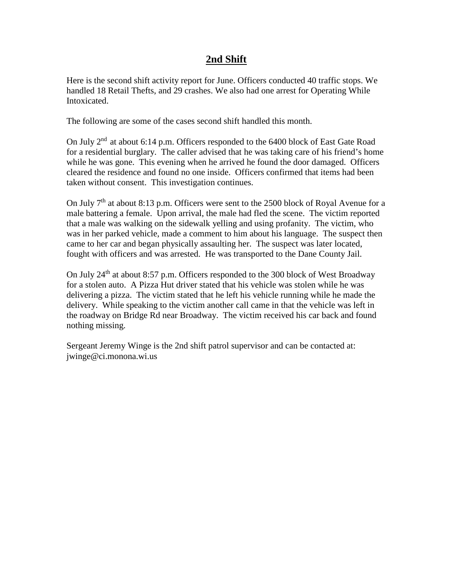#### **2nd Shift**

Here is the second shift activity report for June. Officers conducted 40 traffic stops. We handled 18 Retail Thefts, and 29 crashes. We also had one arrest for Operating While Intoxicated.

The following are some of the cases second shift handled this month.

On July 2nd at about 6:14 p.m. Officers responded to the 6400 block of East Gate Road for a residential burglary. The caller advised that he was taking care of his friend's home while he was gone. This evening when he arrived he found the door damaged. Officers cleared the residence and found no one inside. Officers confirmed that items had been taken without consent. This investigation continues.

On July  $7<sup>th</sup>$  at about 8:13 p.m. Officers were sent to the 2500 block of Royal Avenue for a male battering a female. Upon arrival, the male had fled the scene. The victim reported that a male was walking on the sidewalk yelling and using profanity. The victim, who was in her parked vehicle, made a comment to him about his language. The suspect then came to her car and began physically assaulting her. The suspect was later located, fought with officers and was arrested. He was transported to the Dane County Jail.

On July 24<sup>th</sup> at about 8:57 p.m. Officers responded to the 300 block of West Broadway for a stolen auto. A Pizza Hut driver stated that his vehicle was stolen while he was delivering a pizza. The victim stated that he left his vehicle running while he made the delivery. While speaking to the victim another call came in that the vehicle was left in the roadway on Bridge Rd near Broadway. The victim received his car back and found nothing missing.

Sergeant Jeremy Winge is the 2nd shift patrol supervisor and can be contacted at: jwinge@ci.monona.wi.us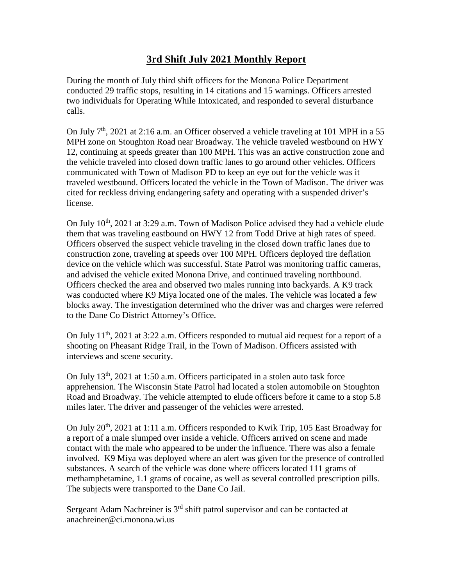# **3rd Shift July 2021 Monthly Report**

During the month of July third shift officers for the Monona Police Department conducted 29 traffic stops, resulting in 14 citations and 15 warnings. Officers arrested two individuals for Operating While Intoxicated, and responded to several disturbance calls.

On July  $7<sup>th</sup>$ , 2021 at 2:16 a.m. an Officer observed a vehicle traveling at 101 MPH in a 55 MPH zone on Stoughton Road near Broadway. The vehicle traveled westbound on HWY 12, continuing at speeds greater than 100 MPH. This was an active construction zone and the vehicle traveled into closed down traffic lanes to go around other vehicles. Officers communicated with Town of Madison PD to keep an eye out for the vehicle was it traveled westbound. Officers located the vehicle in the Town of Madison. The driver was cited for reckless driving endangering safety and operating with a suspended driver's license.

On July  $10<sup>th</sup>$ , 2021 at 3:29 a.m. Town of Madison Police advised they had a vehicle elude them that was traveling eastbound on HWY 12 from Todd Drive at high rates of speed. Officers observed the suspect vehicle traveling in the closed down traffic lanes due to construction zone, traveling at speeds over 100 MPH. Officers deployed tire deflation device on the vehicle which was successful. State Patrol was monitoring traffic cameras, and advised the vehicle exited Monona Drive, and continued traveling northbound. Officers checked the area and observed two males running into backyards. A K9 track was conducted where K9 Miya located one of the males. The vehicle was located a few blocks away. The investigation determined who the driver was and charges were referred to the Dane Co District Attorney's Office.

On July 11<sup>th</sup>, 2021 at 3:22 a.m. Officers responded to mutual aid request for a report of a shooting on Pheasant Ridge Trail, in the Town of Madison. Officers assisted with interviews and scene security.

On July  $13<sup>th</sup>$ , 2021 at 1:50 a.m. Officers participated in a stolen auto task force apprehension. The Wisconsin State Patrol had located a stolen automobile on Stoughton Road and Broadway. The vehicle attempted to elude officers before it came to a stop 5.8 miles later. The driver and passenger of the vehicles were arrested.

On July 20<sup>th</sup>, 2021 at 1:11 a.m. Officers responded to Kwik Trip, 105 East Broadway for a report of a male slumped over inside a vehicle. Officers arrived on scene and made contact with the male who appeared to be under the influence. There was also a female involved. K9 Miya was deployed where an alert was given for the presence of controlled substances. A search of the vehicle was done where officers located 111 grams of methamphetamine, 1.1 grams of cocaine, as well as several controlled prescription pills. The subjects were transported to the Dane Co Jail.

Sergeant Adam Nachreiner is  $3<sup>rd</sup>$  shift patrol supervisor and can be contacted at anachreiner@ci.monona.wi.us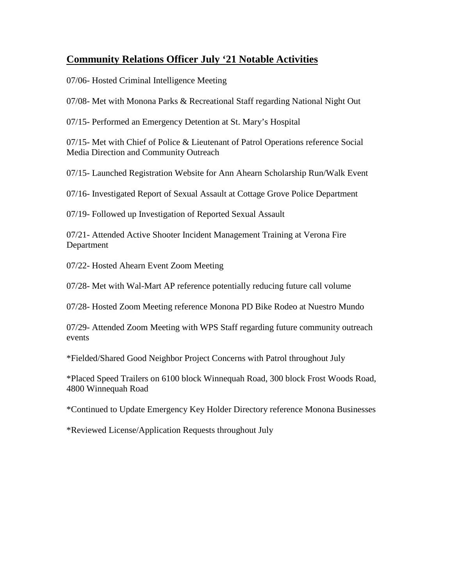## **Community Relations Officer July '21 Notable Activities**

07/06- Hosted Criminal Intelligence Meeting

07/08- Met with Monona Parks & Recreational Staff regarding National Night Out

07/15- Performed an Emergency Detention at St. Mary's Hospital

07/15- Met with Chief of Police & Lieutenant of Patrol Operations reference Social Media Direction and Community Outreach

07/15- Launched Registration Website for Ann Ahearn Scholarship Run/Walk Event

07/16- Investigated Report of Sexual Assault at Cottage Grove Police Department

07/19- Followed up Investigation of Reported Sexual Assault

07/21- Attended Active Shooter Incident Management Training at Verona Fire Department

07/22- Hosted Ahearn Event Zoom Meeting

07/28- Met with Wal-Mart AP reference potentially reducing future call volume

07/28- Hosted Zoom Meeting reference Monona PD Bike Rodeo at Nuestro Mundo

07/29- Attended Zoom Meeting with WPS Staff regarding future community outreach events

\*Fielded/Shared Good Neighbor Project Concerns with Patrol throughout July

\*Placed Speed Trailers on 6100 block Winnequah Road, 300 block Frost Woods Road, 4800 Winnequah Road

\*Continued to Update Emergency Key Holder Directory reference Monona Businesses

\*Reviewed License/Application Requests throughout July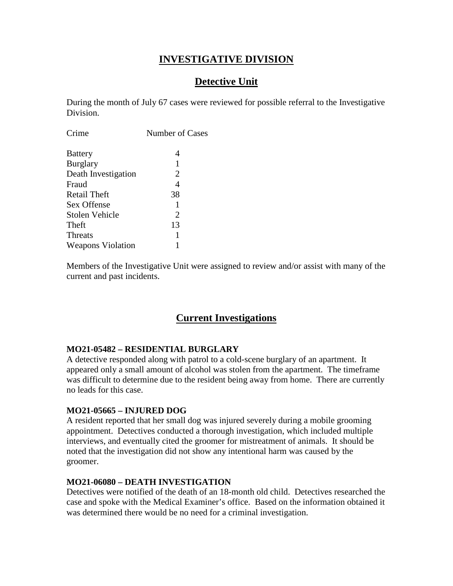## **INVESTIGATIVE DIVISION**

# **Detective Unit**

During the month of July 67 cases were reviewed for possible referral to the Investigative Division.

| Crime                    | <b>Number of Cases</b> |
|--------------------------|------------------------|
| <b>Battery</b>           | 4                      |
| <b>Burglary</b>          | 1                      |
| Death Investigation      | 2                      |
| Fraud                    | 4                      |
| Retail Theft             | 38                     |
| Sex Offense              | 1                      |
| Stolen Vehicle           | 2                      |
| Theft                    | 13                     |
| <b>Threats</b>           | 1                      |
| <b>Weapons Violation</b> |                        |
|                          |                        |

Members of the Investigative Unit were assigned to review and/or assist with many of the current and past incidents.

## **Current Investigations**

#### **MO21-05482 – RESIDENTIAL BURGLARY**

A detective responded along with patrol to a cold-scene burglary of an apartment. It appeared only a small amount of alcohol was stolen from the apartment. The timeframe was difficult to determine due to the resident being away from home. There are currently no leads for this case.

#### **MO21-05665 – INJURED DOG**

A resident reported that her small dog was injured severely during a mobile grooming appointment. Detectives conducted a thorough investigation, which included multiple interviews, and eventually cited the groomer for mistreatment of animals. It should be noted that the investigation did not show any intentional harm was caused by the groomer.

#### **MO21-06080 – DEATH INVESTIGATION**

Detectives were notified of the death of an 18-month old child. Detectives researched the case and spoke with the Medical Examiner's office. Based on the information obtained it was determined there would be no need for a criminal investigation.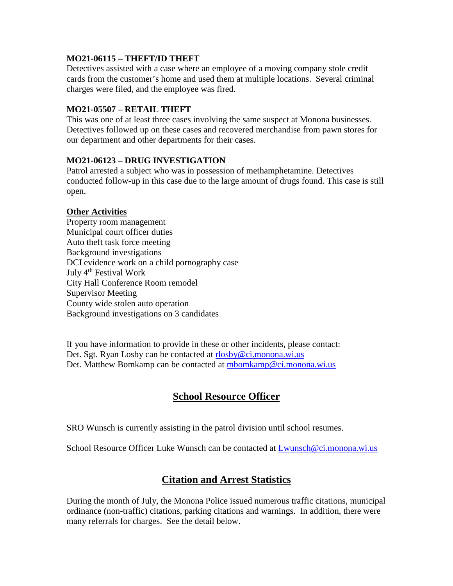#### **MO21-06115 – THEFT/ID THEFT**

Detectives assisted with a case where an employee of a moving company stole credit cards from the customer's home and used them at multiple locations. Several criminal charges were filed, and the employee was fired.

#### **MO21-05507 – RETAIL THEFT**

This was one of at least three cases involving the same suspect at Monona businesses. Detectives followed up on these cases and recovered merchandise from pawn stores for our department and other departments for their cases.

#### **MO21-06123 – DRUG INVESTIGATION**

Patrol arrested a subject who was in possession of methamphetamine. Detectives conducted follow-up in this case due to the large amount of drugs found. This case is still open.

#### **Other Activities**

Property room management Municipal court officer duties Auto theft task force meeting Background investigations DCI evidence work on a child pornography case July 4<sup>th</sup> Festival Work City Hall Conference Room remodel Supervisor Meeting County wide stolen auto operation Background investigations on 3 candidates

If you have information to provide in these or other incidents, please contact: Det. Sgt. Ryan Losby can be contacted at [rlosby@ci.monona.wi.us](mailto:rlosby@ci.monona.wi.us) Det. Matthew Bomkamp can be contacted at [mbomkamp@ci.monona.wi.us](mailto:mbomkamp@ci.monona.wi.us)

# **School Resource Officer**

SRO Wunsch is currently assisting in the patrol division until school resumes.

School Resource Officer Luke Wunsch can be contacted at [Lwunsch@ci.monona.wi.us](mailto:Lwunsch@ci.monona.wi.us)

## **Citation and Arrest Statistics**

During the month of July, the Monona Police issued numerous traffic citations, municipal ordinance (non-traffic) citations, parking citations and warnings. In addition, there were many referrals for charges. See the detail below.